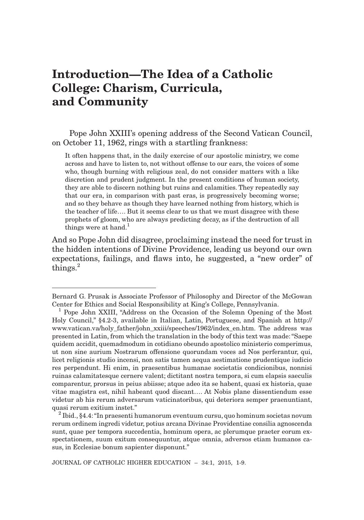## **Introduction—The Idea of a Catholic College: Charism, Curricula, and Community**

Pope John XXIII's opening address of the Second Vatican Council, on October 11, 1962, rings with a startling frankness:

It often happens that, in the daily exercise of our apostolic ministry, we come across and have to listen to, not without offense to our ears, the voices of some who, though burning with religious zeal, do not consider matters with a like discretion and prudent judgment. In the present conditions of human society, they are able to discern nothing but ruins and calamities. They repeatedly say that our era, in comparison with past eras, is progressively becoming worse; and so they behave as though they have learned nothing from history, which is the teacher of life…. But it seems clear to us that we must disagree with these prophets of gloom, who are always predicting decay, as if the destruction of all things were at hand.<sup>1</sup>

And so Pope John did disagree, proclaiming instead the need for trust in the hidden intentions of Divine Providence, leading us beyond our own expectations, failings, and flaws into, he suggested, a "new order" of things.<sup>2</sup>

Bernard G. Prusak is Associate Professor of Philosophy and Director of the McGowan Center for Ethics and Social Responsibility at King's College, Pennsylvania. <sup>1</sup>

<sup>&</sup>lt;sup>1</sup> Pope John XXIII, "Address on the Occasion of the Solemn Opening of the Most Holy Council," §4.2-3, available in Italian, Latin, Portuguese, and Spanish at http:// www.vatican.va/holy\_father/john\_xxiii/speeches/1962/index\_en.htm. The address was presented in Latin, from which the translation in the body of this text was made: "Saepe quidem accidit, quemadmodum in cotidiano obeundo apostolico ministerio comperimus, ut non sine aurium Nostrarum offensione quorundam voces ad Nos perferantur, qui, licet religionis studio incensi, non satis tamen aequa aestimatione prudentique iudicio res perpendunt. Hi enim, in praesentibus humanae societatis condicionibus, nonnisi ruinas calamitatesque cernere valent; dictitant nostra tempora, si cum elapsis saeculis comparentur, prorsus in peius abiisse; atque adeo ita se habent, quasi ex historia, quae vitae magistra est, nihil habeant quod discant…. At Nobis plane dissentiendum esse videtur ab his rerum adversarum vaticinatoribus, qui deteriora semper praenuntiant, quasi rerum exitium instet." <sup>2</sup>

 $10^{2}$  Ibid., §4.4: "In praesenti humanorum eventuum cursu, quo hominum societas novum rerum ordinem ingredi videtur, potius arcana Divinae Providentiae consilia agnoscenda sunt, quae per tempora succedentia, hominum opera, ac plerumque praeter eorum exspectationem, suum exitum consequuntur, atque omnia, adversos etiam humanos casus, in Ecclesiae bonum sapienter disponunt."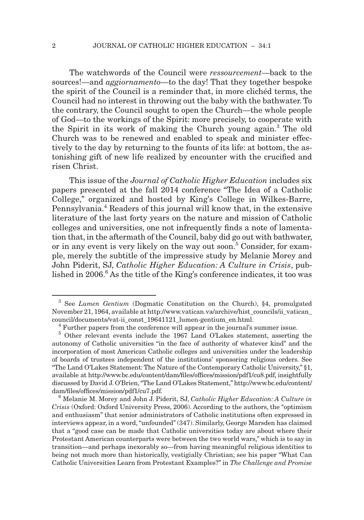The watchwords of the Council were *ressourcement*—back to the sources!—and *aggiornamento*—to the day! That they together bespoke the spirit of the Council is a reminder that, in more clichéd terms, the Council had no interest in throwing out the baby with the bathwater. To the contrary, the Council sought to open the Church—the whole people of God—to the workings of the Spirit: more precisely, to cooperate with the Spirit in its work of making the Church young again.<sup>3</sup> The old Church was to be renewed and enabled to speak and minister effectively to the day by returning to the founts of its life: at bottom, the astonishing gift of new life realized by encounter with the crucified and risen Christ.

This issue of the *Journal of Catholic Higher Education* includes six papers presented at the fall 2014 conference "The Idea of a Catholic College," organized and hosted by King's College in Wilkes-Barre, Pennsylvania.<sup>4</sup> Readers of this journal will know that, in the extensive literature of the last forty years on the nature and mission of Catholic colleges and universities, one not infrequently finds a note of lamentation that, in the aftermath of the Council, baby did go out with bathwater, or in any event is very likely on the way out soon.<sup>5</sup> Consider, for example, merely the subtitle of the impressive study by Melanie Morey and John Piderit, SJ, *Catholic Higher Education: A Culture in Crisis*, published in 2006.<sup>6</sup> As the title of the King's conference indicates, it too was

<sup>3</sup> See *Lumen Gentium* (Dogmatic Constitution on the Church), §4, promulgated November 21, 1964, available at http://www.vatican.va/archive/hist\_councils/ii\_vatican\_ council/documents/vat-ii\_const\_19641121\_lumen-gentium\_en.html.

<sup>&</sup>lt;sup>4</sup> Further papers from the conference will appear in the journal's summer issue.

<sup>5</sup> Other relevant events include the 1967 Land O'Lakes statement, asserting the autonomy of Catholic universities "in the face of authority of whatever kind" and the incorporation of most American Catholic colleges and universities under the leadership of boards of trustees independent of the institutions' sponsoring religious orders. See "The Land O'Lakes Statement: The Nature of the Contemporary Catholic University," §1, available at http://www.bc.edu/content/dam/files/offices/mission/pdf1/cu8.pdf, insightfully discussed by David J. O'Brien, "The Land O'Lakes Statement," http://www.bc.edu/content/ dam/files/offices/mission/pdf1/cu7.pdf.

<sup>6</sup> Melanie M. Morey and John J. Piderit, SJ, *Catholic Higher Education: A Culture in Crisis* (Oxford: Oxford University Press, 2006). According to the authors, the "optimism and enthusiasm" that senior administrators of Catholic institutions often expressed in interviews appear, in a word, "unfounded" (347). Similarly, George Marsden has claimed that a "good case can be made that Catholic universities today are about where their Protestant American counterparts were between the two world wars," which is to say in transition—and perhaps inexorably so—from having meaningful religious identities to being not much more than historically, vestigially Christian; see his paper "What Can Catholic Universities Learn from Protestant Examples?" in *The Challenge and Promise*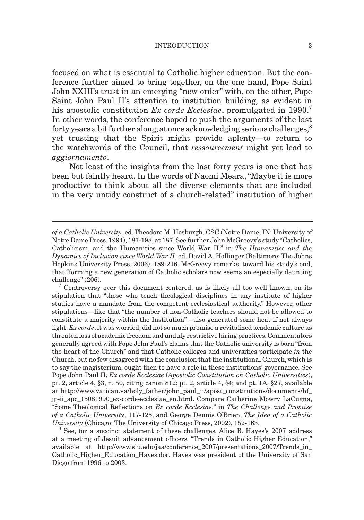## INTRODUCTION 3

focused on what is essential to Catholic higher education. But the conference further aimed to bring together, on the one hand, Pope Saint John XXIII's trust in an emerging "new order" with, on the other, Pope Saint John Paul II's attention to institution building, as evident in his apostolic constitution *Ex corde Ecclesiae*, promulgated in 1990.<sup>7</sup> In other words, the conference hoped to push the arguments of the last forty years a bit further along, at once acknowledging serious challenges,<sup>8</sup> yet trusting that the Spirit might provide aplenty—to return to the watchwords of the Council, that *ressourcement* might yet lead to *aggiornamento*.

Not least of the insights from the last forty years is one that has been but faintly heard. In the words of Naomi Meara, "Maybe it is more productive to think about all the diverse elements that are included in the very untidy construct of a church-related" institution of higher

 $7$  Controversy over this document centered, as is likely all too well known, on its stipulation that "those who teach theological disciplines in any institute of higher studies have a mandate from the competent ecclesiastical authority." However, other stipulations—like that "the number of non-Catholic teachers should not be allowed to constitute a majority within the Institution"—also generated some heat if not always light. *Ex corde*, it was worried, did not so much promise a revitalized academic culture as threaten loss of academic freedom and unduly restrictive hiring practices. Commentators generally agreed with Pope John Paul's claims that the Catholic university is born "from the heart of the Church" and that Catholic colleges and universities participate *in* the Church, but no few disagreed with the conclusion that the institutional Church, which is to say the magisterium, ought then to have a role in these institutions' governance. See Pope John Paul II, *Ex corde Ecclesiae* (*Apostolic Constitution on Catholic Universities*), pt. 2, article 4, §3, n. 50, citing canon 812; pt. 2, article 4, §4; and pt. 1A, §27, available at http://www.vatican.va/holy\_father/john\_paul\_ii/apost\_constitutions/documents/hf\_ jp-ii\_apc\_15081990\_ex-corde-ecclesiae\_en.html. Compare Catherine Mowry LaCugna, "Some Theological Refl ections on *Ex corde Ecclesiae*," in *The Challenge and Promise of a Catholic University*, 117-125, and George Dennis O'Brien, *The Idea of a Catholic University* (Chicago: The University of Chicago Press, 2002), 152-163.

<sup>8</sup> See, for a succinct statement of these challenges, Alice B. Hayes's 2007 address at a meeting of Jesuit advancement officers, "Trends in Catholic Higher Education," available at http://www.slu.edu/jaa/conference\_2007/presentations\_2007/Trends\_in\_ Catholic\_Higher\_Education\_Hayes.doc. Hayes was president of the University of San Diego from 1996 to 2003.

*of a Catholic University*, ed. Theodore M. Hesburgh, CSC (Notre Dame, IN: University of Notre Dame Press, 1994), 187-198, at 187. See further John McGreevy's study "Catholics, Catholicism, and the Humanities since World War II," in *The Humanities and the Dynamics of Inclusion since World War II*, ed. David A. Hollinger (Baltimore: The Johns Hopkins University Press, 2006), 189-216. McGreevy remarks, toward his study's end, that "forming a new generation of Catholic scholars now seems an especially daunting challenge" (206).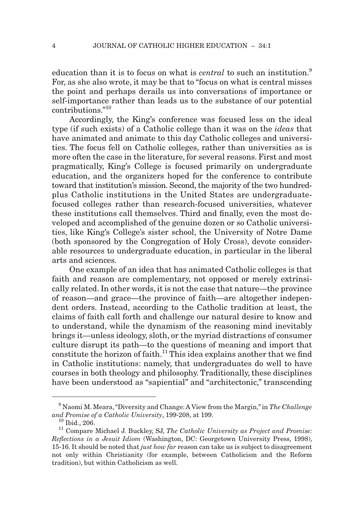education than it is to focus on what is *central* to such an institution.<sup>9</sup> For, as she also wrote, it may be that to "focus on what is central misses the point and perhaps derails us into conversations of importance or self-importance rather than leads us to the substance of our potential contributions."<sup>10</sup>

Accordingly, the King's conference was focused less on the ideal type (if such exists) of a Catholic college than it was on the *ideas* that have animated and animate to this day Catholic colleges and universities. The focus fell on Catholic colleges, rather than universities as is more often the case in the literature, for several reasons. First and most pragmatically, King's College is focused primarily on undergraduate education, and the organizers hoped for the conference to contribute toward that institution's mission. Second, the majority of the two hundredplus Catholic institutions in the United States are undergraduatefocused colleges rather than research-focused universities, whatever these institutions call themselves. Third and finally, even the most developed and accomplished of the genuine dozen or so Catholic universities, like King's College's sister school, the University of Notre Dame (both sponsored by the Congregation of Holy Cross), devote considerable resources to undergraduate education, in particular in the liberal arts and sciences.

One example of an idea that has animated Catholic colleges is that faith and reason are complementary, not opposed or merely extrinsically related. In other words, it is not the case that nature—the province of reason—and grace—the province of faith—are altogether independent orders. Instead, according to the Catholic tradition at least, the claims of faith call forth and challenge our natural desire to know and to understand, while the dynamism of the reasoning mind inevitably brings it—unless ideology, sloth, or the myriad distractions of consumer culture disrupt its path—to the questions of meaning and import that constitute the horizon of faith.<sup>11</sup> This idea explains another that we find in Catholic institutions: namely, that undergraduates do well to have courses in both theology and philosophy. Traditionally, these disciplines have been understood as "sapiential" and "architectonic," transcending

<sup>9</sup> Naomi M. Meara, "Diversity and Change: A View from the Margin," in *The Challenge and Promise of a Catholic University*, 199-208, at 199.

<sup>&</sup>lt;sup>11</sup> Compare Michael J. Buckley, SJ, *The Catholic University as Project and Promise: Refl ections in a Jesuit Idiom* (Washington, DC: Georgetown University Press, 1998), 15-16. It should be noted that *just how far* reason can take us is subject to disagreement not only within Christianity (for example, between Catholicism and the Reform tradition), but within Catholicism as well.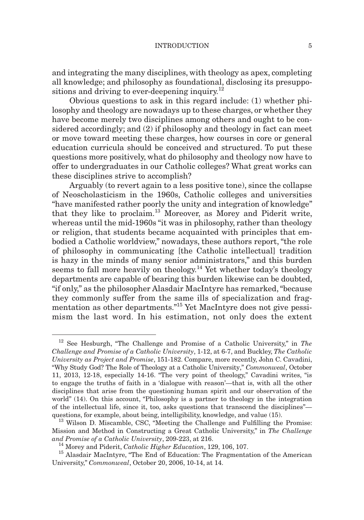and integrating the many disciplines, with theology as apex, completing all knowledge; and philosophy as foundational, disclosing its presuppositions and driving to ever-deepening inquiry.<sup>12</sup>

Obvious questions to ask in this regard include: (1) whether philosophy and theology are nowadays up to these charges, or whether they have become merely two disciplines among others and ought to be considered accordingly; and (2) if philosophy and theology in fact can meet or move toward meeting these charges, how courses in core or general education curricula should be conceived and structured. To put these questions more positively, what do philosophy and theology now have to offer to undergraduates in our Catholic colleges? What great works can these disciplines strive to accomplish?

Arguably (to revert again to a less positive tone), since the collapse of Neoscholasticism in the 1960s, Catholic colleges and universities "have manifested rather poorly the unity and integration of knowledge" that they like to proclaim.13 Moreover, as Morey and Piderit write, whereas until the mid-1960s "it was in philosophy, rather than theology or religion, that students became acquainted with principles that embodied a Catholic worldview," nowadays, these authors report, "the role of philosophy in communicating [the Catholic intellectual] tradition is hazy in the minds of many senior administrators," and this burden seems to fall more heavily on theology.<sup>14</sup> Yet whether today's theology departments are capable of bearing this burden likewise can be doubted, "if only," as the philosopher Alasdair MacIntyre has remarked, "because they commonly suffer from the same ills of specialization and fragmentation as other departments."15 Yet MacIntyre does not give pessimism the last word. In his estimation, not only does the extent

<sup>12</sup> See Hesburgh, "The Challenge and Promise of a Catholic University," in *The Challenge and Promise of a Catholic University*, 1-12, at 6-7, and Buckley, *The Catholic University as Project and Promise*, 151-182. Compare, more recently, John C. Cavadini, "Why Study God? The Role of Theology at a Catholic University," *Commonweal*, October 11, 2013, 12-18, especially 14-16. "The very point of theology," Cavadini writes, "is to engage the truths of faith in a 'dialogue with reason'—that is, with all the other disciplines that arise from the questioning human spirit and our observation of the world" (14). On this account, "Philosophy is a partner to theology in the integration of the intellectual life, since it, too, asks questions that transcend the disciplines" questions, for example, about being, intelligibility, knowledge, and value (15).

 $13$  Wilson D. Miscamble, CSC, "Meeting the Challenge and Fulfilling the Promise: Mission and Method in Constructing a Great Catholic University," in *The Challenge and Promise of a Catholic University*, 209-223, at 216. 14 Morey and Piderit, *Catholic Higher Education*, 129, 106, 107.

<sup>&</sup>lt;sup>15</sup> Alasdair MacIntyre, "The End of Education: The Fragmentation of the American University," *Commonweal*, October 20, 2006, 10-14, at 14.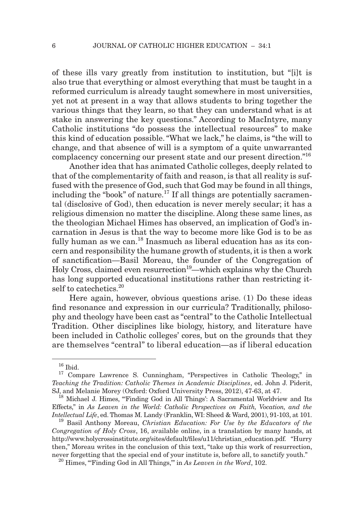of these ills vary greatly from institution to institution, but "[i]t is also true that everything or almost everything that must be taught in a reformed curriculum is already taught somewhere in most universities, yet not at present in a way that allows students to bring together the various things that they learn, so that they can understand what is at stake in answering the key questions." According to MacIntyre, many Catholic institutions "do possess the intellectual resources" to make this kind of education possible. "What we lack," he claims, is "the will to change, and that absence of will is a symptom of a quite unwarranted complacency concerning our present state and our present direction.<sup>"16</sup>

Another idea that has animated Catholic colleges, deeply related to that of the complementarity of faith and reason, is that all reality is suffused with the presence of God, such that God may be found in all things, including the "book" of nature.<sup>17</sup> If all things are potentially sacramental (disclosive of God), then education is never merely secular; it has a religious dimension no matter the discipline. Along these same lines, as the theologian Michael Himes has observed, an implication of God's incarnation in Jesus is that the way to become more like God is to be as fully human as we can.<sup>18</sup> Inasmuch as liberal education has as its concern and responsibility the humane growth of students, it is then a work of sanctification—Basil Moreau, the founder of the Congregation of Holy Cross, claimed even resurrection<sup>19</sup>—which explains why the Church has long supported educational institutions rather than restricting itself to catechetics.<sup>20</sup>

Here again, however, obvious questions arise. (1) Do these ideas find resonance and expression in our curricula? Traditionally, philosophy and theology have been cast as "central" to the Catholic Intellectual Tradition. Other disciplines like biology, history, and literature have been included in Catholic colleges' cores, but on the grounds that they are themselves "central" to liberal education—as if liberal education

 $16$  Ibid.

<sup>&</sup>lt;sup>17</sup> Compare Lawrence S. Cunningham, "Perspectives in Catholic Theology," in *Teaching the Tradition: Catholic Themes in Academic Disciplines*, ed. John J. Piderit, SJ, and Melanie Morey (Oxford: Oxford University Press, 2012), 47-63, at 47.

<sup>&</sup>lt;sup>18</sup> Michael J. Himes, "Finding God in All Things': A Sacramental Worldview and Its Effects," in *As Leaven in the World: Catholic Perspectives on Faith, Vocation, and the Intellectual Life*, ed. Thomas M. Landy (Franklin, WI: Sheed & Ward, 2001), 91-103, at 101.

<sup>19</sup> Basil Anthony Moreau, *Christian Education: For Use by the Educators of the Congregation of Holy Cross*, 16, available online, in a translation by many hands, at http://www.holycrossinstitute.org/sites/default/fi les/u11/christian\_education.pdf. "Hurry then," Moreau writes in the conclusion of this text, "take up this work of resurrection, never forgetting that the special end of your institute is, before all, to sanctify youth."

<sup>&</sup>lt;sup>20</sup> Himes, "Finding God in All Things," in *As Leaven in the Word*, 102.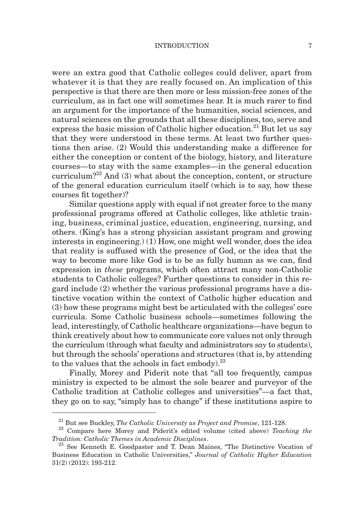## INTRODUCTION 7

were an extra good that Catholic colleges could deliver, apart from whatever it is that they are really focused on. An implication of this perspective is that there are then more or less mission-free zones of the curriculum, as in fact one will sometimes hear. It is much rarer to find an argument for the importance of the humanities, social sciences, and natural sciences on the grounds that all these disciplines, too, serve and express the basic mission of Catholic higher education.<sup>21</sup> But let us say that they were understood in these terms. At least two further questions then arise. (2) Would this understanding make a difference for either the conception or content of the biology, history, and literature courses—to stay with the same examples—in the general education curriculum?<sup>22</sup> And  $(3)$  what about the conception, content, or structure of the general education curriculum itself (which is to say, how these courses fit together)?

Similar questions apply with equal if not greater force to the many professional programs offered at Catholic colleges, like athletic training, business, criminal justice, education, engineering, nursing, and others. (King's has a strong physician assistant program and growing interests in engineering.) (1) How, one might well wonder, does the idea that reality is suffused with the presence of God, or the idea that the way to become more like God is to be as fully human as we can, find expression in *these* programs, which often attract many non-Catholic students to Catholic colleges? Further questions to consider in this regard include (2) whether the various professional programs have a distinctive vocation within the context of Catholic higher education and (3) how these programs might best be articulated with the colleges' core curricula. Some Catholic business schools—sometimes following the lead, interestingly, of Catholic healthcare organizations—have begun to think creatively about how to communicate core values not only through the curriculum (through what faculty and administrators *say* to students), but through the schools' operations and structures (that is, by attending to the values that the schools in fact embody. $^{23}$ 

Finally, Morey and Piderit note that "all too frequently, campus ministry is expected to be almost the sole bearer and purveyor of the Catholic tradition at Catholic colleges and universities"—a fact that, they go on to say, "simply has to change" if these institutions aspire to

<sup>21</sup> But see Buckley, *The Catholic University as Project and Promise*, 121-128. 22 Compare here Morey and Piderit's edited volume (cited above) *Teaching the Tradition: Catholic Themes in Academic Disciplines*. 23 See Kenneth E. Goodpaster and T. Dean Maines, "The Distinctive Vocation of

Business Education in Catholic Universities," *Journal of Catholic Higher Education* 31(2) (2012): 193-212.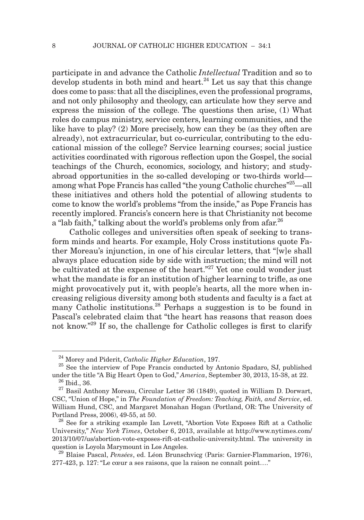participate in and advance the Catholic *Intellectual* Tradition and so to  $develop$  students in both mind and heart.<sup>24</sup> Let us say that this change does come to pass: that all the disciplines, even the professional programs, and not only philosophy and theology, can articulate how they serve and express the mission of the college. The questions then arise, (1) What roles do campus ministry, service centers, learning communities, and the like have to play? (2) More precisely, how can they be (as they often are already), not extracurricular, but co-curricular, contributing to the educational mission of the college? Service learning courses; social justice activities coordinated with rigorous reflection upon the Gospel, the social teachings of the Church, economics, sociology, and history; and studyabroad opportunities in the so-called developing or two-thirds world among what Pope Francis has called "the young Catholic churches"<sup>25</sup>—all these initiatives and others hold the potential of allowing students to come to know the world's problems "from the inside," as Pope Francis has recently implored. Francis's concern here is that Christianity not become a "lab faith," talking about the world's problems only from a far.  $2^6$ 

Catholic colleges and universities often speak of seeking to transform minds and hearts. For example, Holy Cross institutions quote Father Moreau's injunction, in one of his circular letters, that "[w]e shall always place education side by side with instruction; the mind will not be cultivated at the expense of the heart.<sup>"27</sup> Yet one could wonder just what the mandate is for an institution of higher learning to trifle, as one might provocatively put it, with people's hearts, all the more when increasing religious diversity among both students and faculty is a fact at many Catholic institutions.<sup>28</sup> Perhaps a suggestion is to be found in Pascal's celebrated claim that "the heart has reasons that reason does not know."<sup>29</sup> If so, the challenge for Catholic colleges is first to clarify

<sup>24</sup> Morey and Piderit, *Catholic Higher Education*, 197.

 $25$  See the interview of Pope Francis conducted by Antonio Spadaro, SJ, published under the title "A Big Heart Open to God," *America*, September 30, 2013, 15-38, at 22.

<sup>26</sup> Ibid., 36.

 $27$  Basil Anthony Moreau, Circular Letter 36 (1849), quoted in William D. Dorwart, CSC, "Union of Hope," in *The Foundation of Freedom: Teaching, Faith, and Service*, ed. William Hund, CSC, and Margaret Monahan Hogan (Portland, OR: The University of Portland Press, 2006), 49-55, at 50.

<sup>&</sup>lt;sup>28</sup> See for a striking example Ian Lovett, "Abortion Vote Exposes Rift at a Catholic University," *New York Times*, October 6, 2013, available at http://www.nytimes.com/ 2013/10/07/us/abortion-vote-exposes-rift-at-catholic-university.html. The university in question is Loyola Marymount in Los Angeles.

<sup>29</sup> Blaise Pascal, *Pensées*, ed. Léon Brunschvicg (Paris: Garnier-Flammarion, 1976), 277-423, p. 127: "Le cœur a ses raisons, que la raison ne connaît point…."